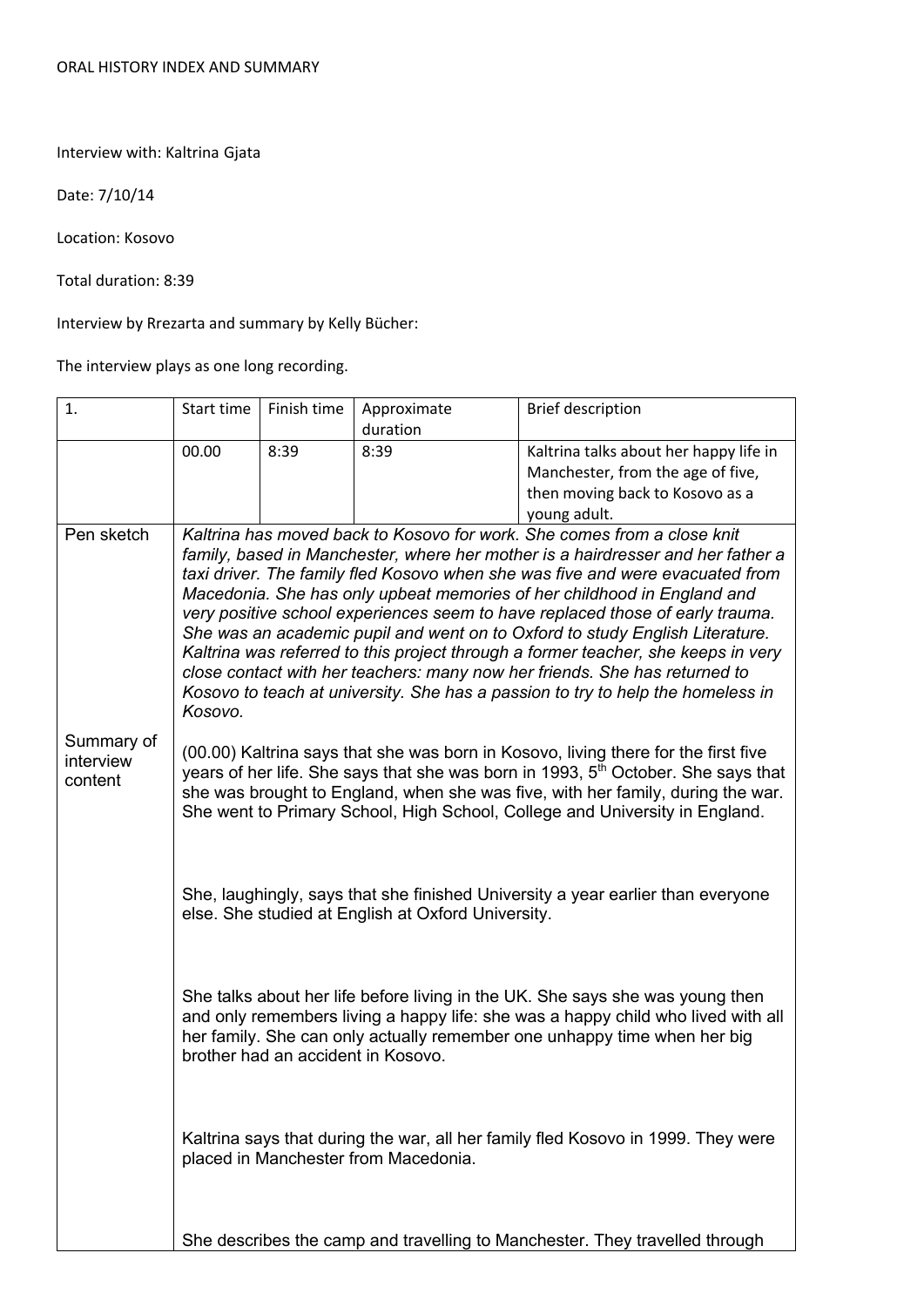Interview with: Kaltrina Gjata

Date: 7/10/14

Location: Kosovo

Total duration: 8:39

Interview by Rrezarta and summary by Kelly Bücher:

The interview plays as one long recording.

| 1.                                 | Start time                                                                                                                                                                                                                                                                                                                                                                                                                                                                                                                                                                                                                                                                                                                                               | Finish time                                                                                                                                                                                                                                                                         | Approximate | <b>Brief description</b>               |
|------------------------------------|----------------------------------------------------------------------------------------------------------------------------------------------------------------------------------------------------------------------------------------------------------------------------------------------------------------------------------------------------------------------------------------------------------------------------------------------------------------------------------------------------------------------------------------------------------------------------------------------------------------------------------------------------------------------------------------------------------------------------------------------------------|-------------------------------------------------------------------------------------------------------------------------------------------------------------------------------------------------------------------------------------------------------------------------------------|-------------|----------------------------------------|
|                                    |                                                                                                                                                                                                                                                                                                                                                                                                                                                                                                                                                                                                                                                                                                                                                          |                                                                                                                                                                                                                                                                                     | duration    |                                        |
|                                    | 00.00                                                                                                                                                                                                                                                                                                                                                                                                                                                                                                                                                                                                                                                                                                                                                    | 8:39                                                                                                                                                                                                                                                                                | 8:39        | Kaltrina talks about her happy life in |
|                                    |                                                                                                                                                                                                                                                                                                                                                                                                                                                                                                                                                                                                                                                                                                                                                          |                                                                                                                                                                                                                                                                                     |             | Manchester, from the age of five,      |
|                                    |                                                                                                                                                                                                                                                                                                                                                                                                                                                                                                                                                                                                                                                                                                                                                          |                                                                                                                                                                                                                                                                                     |             | then moving back to Kosovo as a        |
|                                    |                                                                                                                                                                                                                                                                                                                                                                                                                                                                                                                                                                                                                                                                                                                                                          |                                                                                                                                                                                                                                                                                     |             | young adult.                           |
| Pen sketch                         | Kaltrina has moved back to Kosovo for work. She comes from a close knit<br>family, based in Manchester, where her mother is a hairdresser and her father a<br>taxi driver. The family fled Kosovo when she was five and were evacuated from<br>Macedonia. She has only upbeat memories of her childhood in England and<br>very positive school experiences seem to have replaced those of early trauma.<br>She was an academic pupil and went on to Oxford to study English Literature.<br>Kaltrina was referred to this project through a former teacher, she keeps in very<br>close contact with her teachers: many now her friends. She has returned to<br>Kosovo to teach at university. She has a passion to try to help the homeless in<br>Kosovo. |                                                                                                                                                                                                                                                                                     |             |                                        |
| Summary of<br>interview<br>content | (00.00) Kaltrina says that she was born in Kosovo, living there for the first five<br>years of her life. She says that she was born in 1993, 5 <sup>th</sup> October. She says that<br>she was brought to England, when she was five, with her family, during the war.<br>She went to Primary School, High School, College and University in England.                                                                                                                                                                                                                                                                                                                                                                                                    |                                                                                                                                                                                                                                                                                     |             |                                        |
|                                    | She, laughingly, says that she finished University a year earlier than everyone<br>else. She studied at English at Oxford University.                                                                                                                                                                                                                                                                                                                                                                                                                                                                                                                                                                                                                    |                                                                                                                                                                                                                                                                                     |             |                                        |
|                                    |                                                                                                                                                                                                                                                                                                                                                                                                                                                                                                                                                                                                                                                                                                                                                          | She talks about her life before living in the UK. She says she was young then<br>and only remembers living a happy life: she was a happy child who lived with all<br>her family. She can only actually remember one unhappy time when her big<br>brother had an accident in Kosovo. |             |                                        |
|                                    | Kaltrina says that during the war, all her family fled Kosovo in 1999. They were<br>placed in Manchester from Macedonia.                                                                                                                                                                                                                                                                                                                                                                                                                                                                                                                                                                                                                                 |                                                                                                                                                                                                                                                                                     |             |                                        |
|                                    | She describes the camp and travelling to Manchester. They travelled through                                                                                                                                                                                                                                                                                                                                                                                                                                                                                                                                                                                                                                                                              |                                                                                                                                                                                                                                                                                     |             |                                        |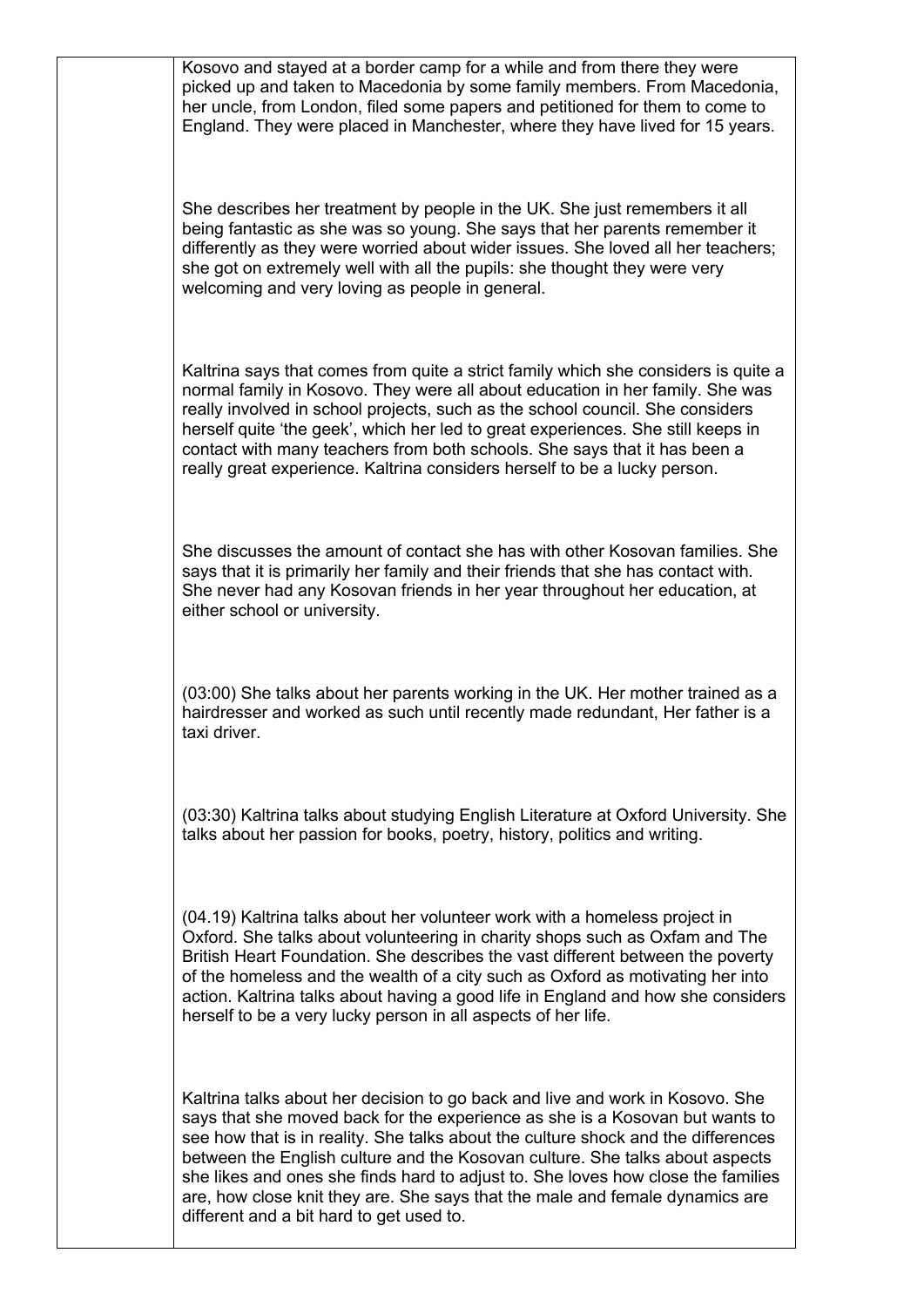Kosovo and stayed at a border camp for a while and from there they were picked up and taken to Macedonia by some family members. From Macedonia, her uncle, from London, filed some papers and petitioned for them to come to England. They were placed in Manchester, where they have lived for 15 years.

She describes her treatment by people in the UK. She just remembers it all being fantastic as she was so young. She says that her parents remember it differently as they were worried about wider issues. She loved all her teachers; she got on extremely well with all the pupils: she thought they were very welcoming and very loving as people in general.

Kaltrina says that comes from quite a strict family which she considers is quite a normal family in Kosovo. They were all about education in her family. She was really involved in school projects, such as the school council. She considers herself quite 'the geek', which her led to great experiences. She still keeps in contact with many teachers from both schools. She says that it has been a really great experience. Kaltrina considers herself to be a lucky person.

She discusses the amount of contact she has with other Kosovan families. She says that it is primarily her family and their friends that she has contact with. She never had any Kosovan friends in her year throughout her education, at either school or university.

(03:00) She talks about her parents working in the UK. Her mother trained as a hairdresser and worked as such until recently made redundant, Her father is a taxi driver.

(03:30) Kaltrina talks about studying English Literature at Oxford University. She talks about her passion for books, poetry, history, politics and writing.

(04.19) Kaltrina talks about her volunteer work with a homeless project in Oxford. She talks about volunteering in charity shops such as Oxfam and The British Heart Foundation. She describes the vast different between the poverty of the homeless and the wealth of a city such as Oxford as motivating her into action. Kaltrina talks about having a good life in England and how she considers herself to be a very lucky person in all aspects of her life.

Kaltrina talks about her decision to go back and live and work in Kosovo. She says that she moved back for the experience as she is a Kosovan but wants to see how that is in reality. She talks about the culture shock and the differences between the English culture and the Kosovan culture. She talks about aspects she likes and ones she finds hard to adjust to. She loves how close the families are, how close knit they are. She says that the male and female dynamics are different and a bit hard to get used to.